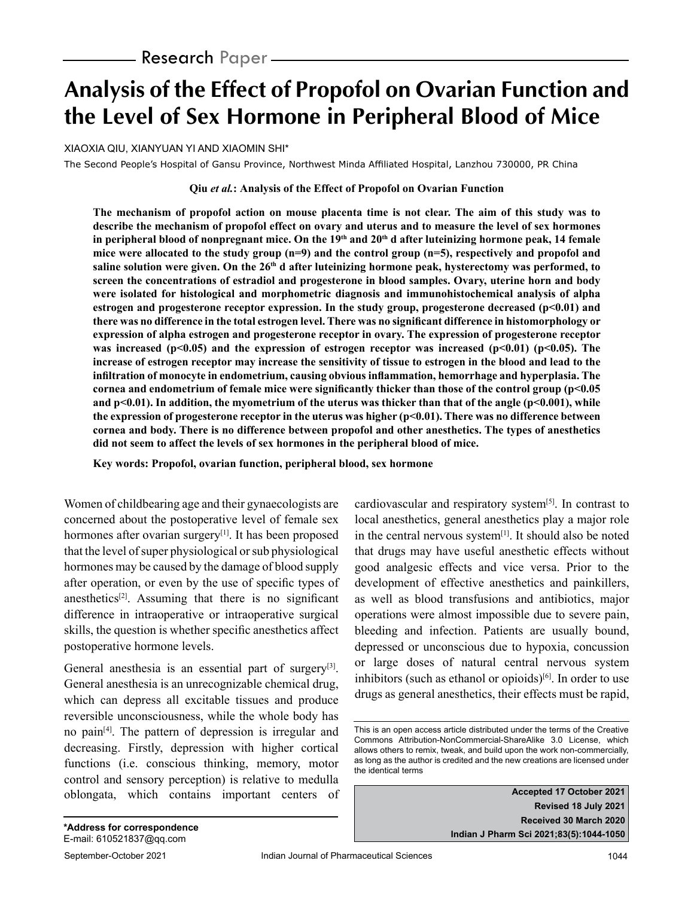# **Analysis of the Effect of Propofol on Ovarian Function and the Level of Sex Hormone in Peripheral Blood of Mice**

XIAOXIA QIU, XIANYUAN YI AND XIAOMIN SHI\*

The Second People's Hospital of Gansu Province, Northwest Minda Affiliated Hospital, Lanzhou 730000, PR China

#### **Qiu** *et al.***: Analysis of the Effect of Propofol on Ovarian Function**

**The mechanism of propofol action on mouse placenta time is not clear. The aim of this study was to describe the mechanism of propofol effect on ovary and uterus and to measure the level of sex hormones**  in peripheral blood of nonpregnant mice. On the 19<sup>th</sup> and 20<sup>th</sup> d after luteinizing hormone peak, 14 female **mice were allocated to the study group (n=9) and the control group (n=5), respectively and propofol and**  saline solution were given. On the 26<sup>th</sup> d after luteinizing hormone peak, hysterectomy was performed, to **screen the concentrations of estradiol and progesterone in blood samples. Ovary, uterine horn and body were isolated for histological and morphometric diagnosis and immunohistochemical analysis of alpha estrogen and progesterone receptor expression. In the study group, progesterone decreased (p<0.01) and there was no difference in the total estrogen level. There was no significant difference in histomorphology or expression of alpha estrogen and progesterone receptor in ovary. The expression of progesterone receptor**  was increased (p<0.05) and the expression of estrogen receptor was increased (p<0.01) (p<0.05). The **increase of estrogen receptor may increase the sensitivity of tissue to estrogen in the blood and lead to the infiltration of monocyte in endometrium, causing obvious inflammation, hemorrhage and hyperplasia. The cornea and endometrium of female mice were significantly thicker than those of the control group (p<0.05 and p<0.01). In addition, the myometrium of the uterus was thicker than that of the angle (p<0.001), while the expression of progesterone receptor in the uterus was higher (p<0.01). There was no difference between cornea and body. There is no difference between propofol and other anesthetics. The types of anesthetics did not seem to affect the levels of sex hormones in the peripheral blood of mice.**

**Key words: Propofol, ovarian function, peripheral blood, sex hormone**

Women of childbearing age and their gynaecologists are concerned about the postoperative level of female sex hormones after ovarian surgery<sup>[1]</sup>. It has been proposed that the level of super physiological or sub physiological hormones may be caused by the damage of blood supply after operation, or even by the use of specific types of anesthetics $[2]$ . Assuming that there is no significant difference in intraoperative or intraoperative surgical skills, the question is whether specific anesthetics affect postoperative hormone levels.

General anesthesia is an essential part of surgery<sup>[3]</sup>. General anesthesia is an unrecognizable chemical drug, which can depress all excitable tissues and produce reversible unconsciousness, while the whole body has no pain[4]. The pattern of depression is irregular and decreasing. Firstly, depression with higher cortical functions (i.e. conscious thinking, memory, motor control and sensory perception) is relative to medulla oblongata, which contains important centers of cardiovascular and respiratory system $[5]$ . In contrast to local anesthetics, general anesthetics play a major role in the central nervous system<sup>[1]</sup>. It should also be noted that drugs may have useful anesthetic effects without good analgesic effects and vice versa. Prior to the development of effective anesthetics and painkillers, as well as blood transfusions and antibiotics, major operations were almost impossible due to severe pain, bleeding and infection. Patients are usually bound, depressed or unconscious due to hypoxia, concussion or large doses of natural central nervous system inhibitors (such as ethanol or opioids) $[6]$ . In order to use drugs as general anesthetics, their effects must be rapid,

**Accepted 17 October 2021 Revised 18 July 2021 Received 30 March 2020 Indian J Pharm Sci 2021;83(5):1044-1050**

This is an open access article distributed under the terms of the Creative Commons Attribution-NonCommercial-ShareAlike 3.0 License, which allows others to remix, tweak, and build upon the work non-commercially, as long as the author is credited and the new creations are licensed under the identical terms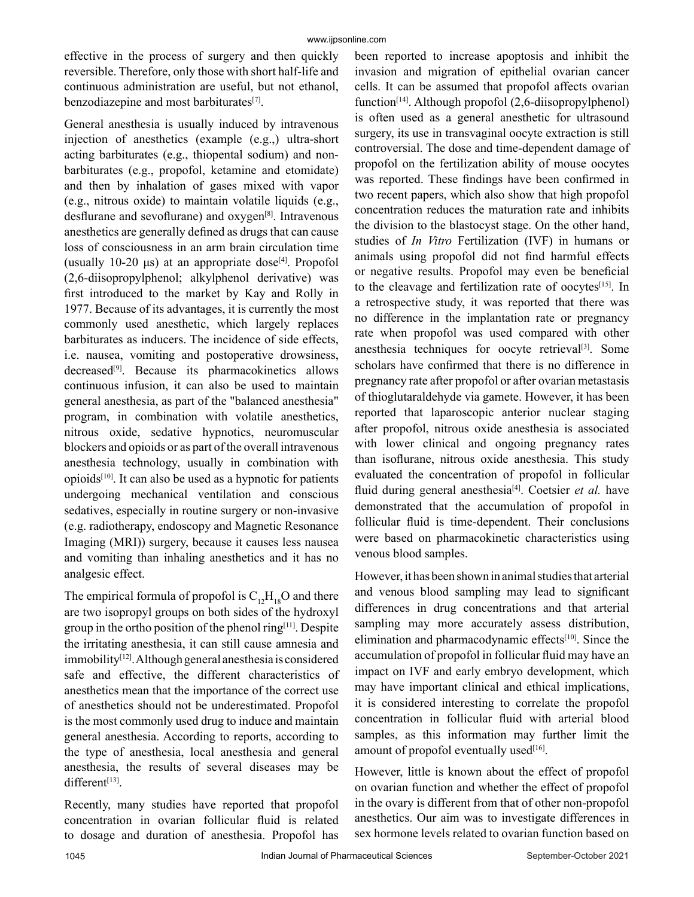effective in the process of surgery and then quickly reversible. Therefore, only those with short half-life and continuous administration are useful, but not ethanol, benzodiazepine and most barbiturates<sup>[7]</sup>.

General anesthesia is usually induced by intravenous injection of anesthetics (example (e.g.,) ultra-short acting barbiturates (e.g., thiopental sodium) and nonbarbiturates (e.g., propofol, ketamine and etomidate) and then by inhalation of gases mixed with vapor (e.g., nitrous oxide) to maintain volatile liquids (e.g., desflurane and sevoflurane) and oxygen[8]. Intravenous anesthetics are generally defined as drugs that can cause loss of consciousness in an arm brain circulation time (usually 10-20  $\mu$ s) at an appropriate dose<sup>[4]</sup>. Propofol (2,6-diisopropylphenol; alkylphenol derivative) was first introduced to the market by Kay and Rolly in 1977. Because of its advantages, it is currently the most commonly used anesthetic, which largely replaces barbiturates as inducers. The incidence of side effects, i.e. nausea, vomiting and postoperative drowsiness, decreased<sup>[9]</sup>. Because its pharmacokinetics allows continuous infusion, it can also be used to maintain general anesthesia, as part of the "balanced anesthesia" program, in combination with volatile anesthetics, nitrous oxide, sedative hypnotics, neuromuscular blockers and opioids or as part of the overall intravenous anesthesia technology, usually in combination with opioids[10]. It can also be used as a hypnotic for patients undergoing mechanical ventilation and conscious sedatives, especially in routine surgery or non-invasive (e.g. radiotherapy, endoscopy and Magnetic Resonance Imaging (MRI)) surgery, because it causes less nausea and vomiting than inhaling anesthetics and it has no analgesic effect.

The empirical formula of propofol is  $C_{12}H_{18}O$  and there are two isopropyl groups on both sides of the hydroxyl group in the ortho position of the phenol ring $[11]$ . Despite the irritating anesthesia, it can still cause amnesia and immobility<sup>[12]</sup>. Although general anesthesia is considered safe and effective, the different characteristics of anesthetics mean that the importance of the correct use of anesthetics should not be underestimated. Propofol is the most commonly used drug to induce and maintain general anesthesia. According to reports, according to the type of anesthesia, local anesthesia and general anesthesia, the results of several diseases may be different<sup>[13]</sup>.

Recently, many studies have reported that propofol concentration in ovarian follicular fluid is related to dosage and duration of anesthesia. Propofol has

been reported to increase apoptosis and inhibit the invasion and migration of epithelial ovarian cancer cells. It can be assumed that propofol affects ovarian function<sup>[14]</sup>. Although propofol  $(2,6$ -diisopropylphenol) is often used as a general anesthetic for ultrasound surgery, its use in transvaginal oocyte extraction is still controversial. The dose and time-dependent damage of propofol on the fertilization ability of mouse oocytes was reported. These findings have been confirmed in two recent papers, which also show that high propofol concentration reduces the maturation rate and inhibits the division to the blastocyst stage. On the other hand, studies of *In Vitro* Fertilization (IVF) in humans or animals using propofol did not find harmful effects or negative results. Propofol may even be beneficial to the cleavage and fertilization rate of oocytes<sup>[15]</sup>. In a retrospective study, it was reported that there was no difference in the implantation rate or pregnancy rate when propofol was used compared with other anesthesia techniques for oocyte retrieval<sup>[3]</sup>. Some scholars have confirmed that there is no difference in pregnancy rate after propofol or after ovarian metastasis of thioglutaraldehyde via gamete. However, it has been reported that laparoscopic anterior nuclear staging after propofol, nitrous oxide anesthesia is associated with lower clinical and ongoing pregnancy rates than isoflurane, nitrous oxide anesthesia. This study evaluated the concentration of propofol in follicular fluid during general anesthesia<sup>[4]</sup>. Coetsier *et al.* have demonstrated that the accumulation of propofol in follicular fluid is time-dependent. Their conclusions were based on pharmacokinetic characteristics using venous blood samples.

However, it has been shown in animal studies that arterial and venous blood sampling may lead to significant differences in drug concentrations and that arterial sampling may more accurately assess distribution, elimination and pharmacodynamic effects<sup>[10]</sup>. Since the accumulation of propofol in follicular fluid may have an impact on IVF and early embryo development, which may have important clinical and ethical implications, it is considered interesting to correlate the propofol concentration in follicular fluid with arterial blood samples, as this information may further limit the amount of propofol eventually used $[16]$ .

However, little is known about the effect of propofol on ovarian function and whether the effect of propofol in the ovary is different from that of other non-propofol anesthetics. Our aim was to investigate differences in sex hormone levels related to ovarian function based on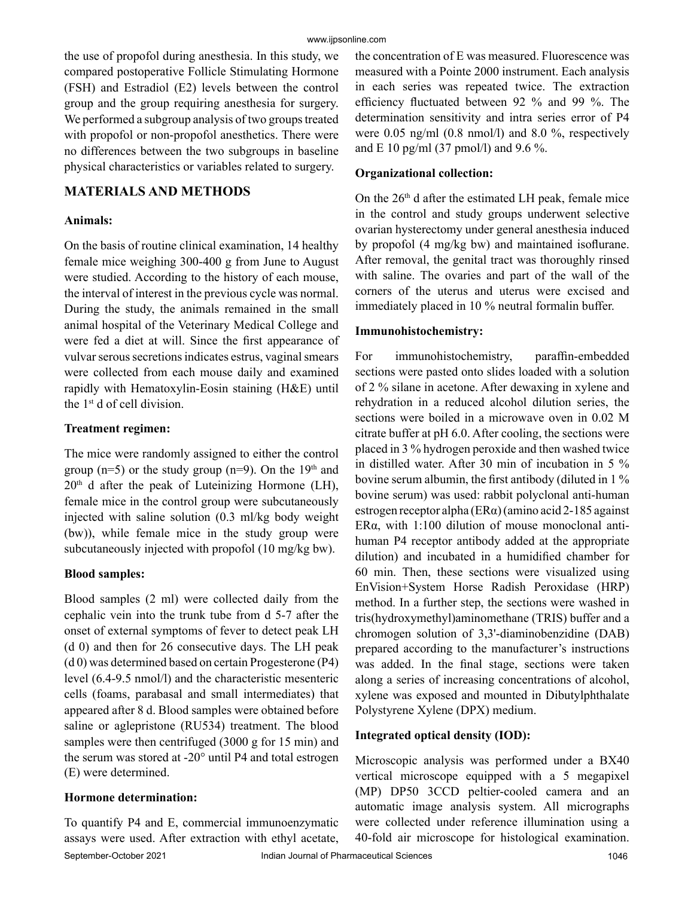the use of propofol during anesthesia. In this study, we compared postoperative Follicle Stimulating Hormone (FSH) and Estradiol (E2) levels between the control group and the group requiring anesthesia for surgery. We performed a subgroup analysis of two groups treated with propofol or non-propofol anesthetics. There were no differences between the two subgroups in baseline physical characteristics or variables related to surgery.

## **MATERIALS AND METHODS**

#### **Animals:**

On the basis of routine clinical examination, 14 healthy female mice weighing 300-400 g from June to August were studied. According to the history of each mouse, the interval of interest in the previous cycle was normal. During the study, the animals remained in the small animal hospital of the Veterinary Medical College and were fed a diet at will. Since the first appearance of vulvar serous secretions indicates estrus, vaginal smears were collected from each mouse daily and examined rapidly with Hematoxylin-Eosin staining (H&E) until the 1st d of cell division.

#### **Treatment regimen:**

The mice were randomly assigned to either the control group ( $n=5$ ) or the study group ( $n=9$ ). On the 19<sup>th</sup> and  $20<sup>th</sup>$  d after the peak of Luteinizing Hormone (LH), female mice in the control group were subcutaneously injected with saline solution (0.3 ml/kg body weight (bw)), while female mice in the study group were subcutaneously injected with propofol (10 mg/kg bw).

#### **Blood samples:**

Blood samples (2 ml) were collected daily from the cephalic vein into the trunk tube from d 5-7 after the onset of external symptoms of fever to detect peak LH (d 0) and then for 26 consecutive days. The LH peak (d 0) was determined based on certain Progesterone (P4) level (6.4-9.5 nmol/l) and the characteristic mesenteric cells (foams, parabasal and small intermediates) that appeared after 8 d. Blood samples were obtained before saline or aglepristone (RU534) treatment. The blood samples were then centrifuged (3000 g for 15 min) and the serum was stored at -20° until P4 and total estrogen (E) were determined.

#### **Hormone determination:**

September-October 2021 Indian Journal of Pharmaceutical Sciences 1046 To quantify P4 and E, commercial immunoenzymatic assays were used. After extraction with ethyl acetate,

the concentration of E was measured. Fluorescence was measured with a Pointe 2000 instrument. Each analysis in each series was repeated twice. The extraction efficiency fluctuated between 92 % and 99 %. The determination sensitivity and intra series error of P4 were 0.05 ng/ml (0.8 nmol/l) and 8.0 %, respectively and E 10 pg/ml (37 pmol/l) and 9.6 %.

#### **Organizational collection:**

On the  $26<sup>th</sup>$  d after the estimated LH peak, female mice in the control and study groups underwent selective ovarian hysterectomy under general anesthesia induced by propofol (4 mg/kg bw) and maintained isoflurane. After removal, the genital tract was thoroughly rinsed with saline. The ovaries and part of the wall of the corners of the uterus and uterus were excised and immediately placed in 10 % neutral formalin buffer.

#### **Immunohistochemistry:**

For immunohistochemistry, paraffin-embedded sections were pasted onto slides loaded with a solution of 2 % silane in acetone. After dewaxing in xylene and rehydration in a reduced alcohol dilution series, the sections were boiled in a microwave oven in 0.02 M citrate buffer at pH 6.0. After cooling, the sections were placed in 3 % hydrogen peroxide and then washed twice in distilled water. After 30 min of incubation in 5 % bovine serum albumin, the first antibody (diluted in 1 % bovine serum) was used: rabbit polyclonal anti-human estrogen receptor alpha (ERα) (amino acid 2-185 against ERα, with 1:100 dilution of mouse monoclonal antihuman P4 receptor antibody added at the appropriate dilution) and incubated in a humidified chamber for 60 min. Then, these sections were visualized using EnVision+System Horse Radish Peroxidase (HRP) method. In a further step, the sections were washed in tris(hydroxymethyl)aminomethane (TRIS) buffer and a chromogen solution of 3,3'-diaminobenzidine (DAB) prepared according to the manufacturer's instructions was added. In the final stage, sections were taken along a series of increasing concentrations of alcohol, xylene was exposed and mounted in Dibutylphthalate Polystyrene Xylene (DPX) medium.

#### **Integrated optical density (IOD):**

Microscopic analysis was performed under a BX40 vertical microscope equipped with a 5 megapixel (MP) DP50 3CCD peltier-cooled camera and an automatic image analysis system. All micrographs were collected under reference illumination using a 40-fold air microscope for histological examination.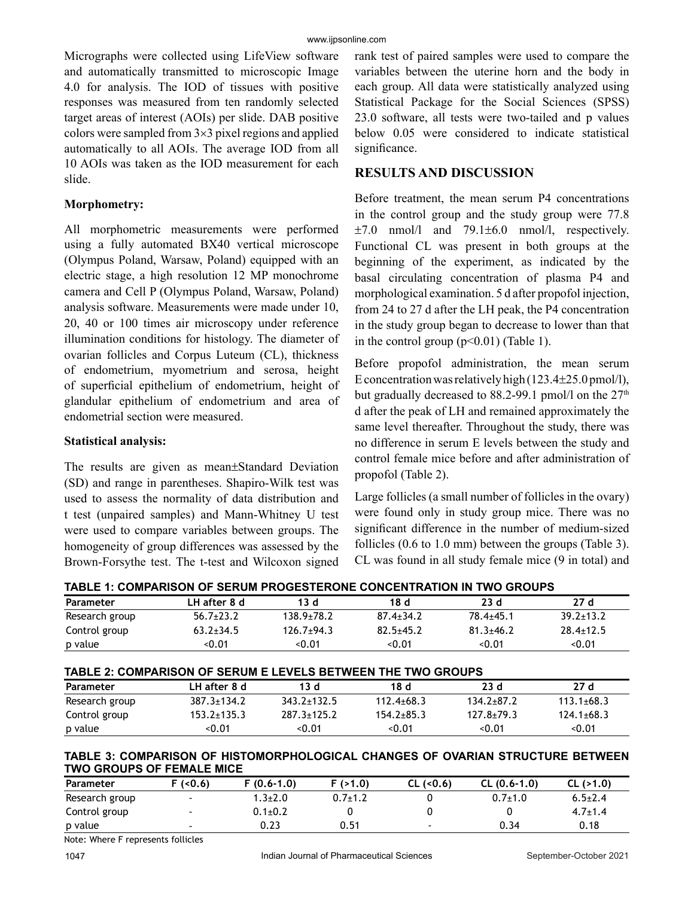Micrographs were collected using LifeView software and automatically transmitted to microscopic Image 4.0 for analysis. The IOD of tissues with positive responses was measured from ten randomly selected target areas of interest (AOIs) per slide. DAB positive colors were sampled from 3×3 pixel regions and applied automatically to all AOIs. The average IOD from all 10 AOIs was taken as the IOD measurement for each slide.

#### **Morphometry:**

All morphometric measurements were performed using a fully automated BX40 vertical microscope (Olympus Poland, Warsaw, Poland) equipped with an electric stage, a high resolution 12 MP monochrome camera and Cell P (Olympus Poland, Warsaw, Poland) analysis software. Measurements were made under 10, 20, 40 or 100 times air microscopy under reference illumination conditions for histology. The diameter of ovarian follicles and Corpus Luteum (CL), thickness of endometrium, myometrium and serosa, height of superficial epithelium of endometrium, height of glandular epithelium of endometrium and area of endometrial section were measured.

#### **Statistical analysis:**

The results are given as mean±Standard Deviation (SD) and range in parentheses. Shapiro-Wilk test was used to assess the normality of data distribution and t test (unpaired samples) and Mann-Whitney U test were used to compare variables between groups. The homogeneity of group differences was assessed by the Brown-Forsythe test. The t-test and Wilcoxon signed rank test of paired samples were used to compare the variables between the uterine horn and the body in each group. All data were statistically analyzed using Statistical Package for the Social Sciences (SPSS) 23.0 software, all tests were two-tailed and p values below 0.05 were considered to indicate statistical significance.

## **RESULTS AND DISCUSSION**

Before treatment, the mean serum P4 concentrations in the control group and the study group were 77.8  $\pm 7.0$  nmol/l and  $79.1\pm 6.0$  nmol/l, respectively. Functional CL was present in both groups at the beginning of the experiment, as indicated by the basal circulating concentration of plasma P4 and morphological examination. 5 d after propofol injection, from 24 to 27 d after the LH peak, the P4 concentration in the study group began to decrease to lower than that in the control group  $(p<0.01)$  (Table 1).

Before propofol administration, the mean serum E concentration was relatively high (123.4±25.0 pmol/l), but gradually decreased to 88.2-99.1 pmol/l on the  $27<sup>th</sup>$ d after the peak of LH and remained approximately the same level thereafter. Throughout the study, there was no difference in serum E levels between the study and control female mice before and after administration of propofol (Table 2).

Large follicles (a small number of follicles in the ovary) were found only in study group mice. There was no significant difference in the number of medium-sized follicles (0.6 to 1.0 mm) between the groups (Table 3). CL was found in all study female mice (9 in total) and

**TABLE 1: COMPARISON OF SERUM PROGESTERONE CONCENTRATION IN TWO GROUPS**

| ם וסטואט טוויט וויטומים וויטומים שנושטום וויטוויו וויטומים שני השטות וויסט ווי |                 |                  |                 |                 |                 |
|--------------------------------------------------------------------------------|-----------------|------------------|-----------------|-----------------|-----------------|
| Parameter                                                                      | LH after 8 d    | 13 d             | 18 d            | 23d             | 27d             |
| Research group                                                                 | $56.7\pm23.2$   | $138.9 \pm 78.2$ | $87.4 \pm 34.2$ | $78.4 + 45.1$   | $39.2 \pm 13.2$ |
| Control group                                                                  | $63.2 \pm 34.5$ | $126.7+94.3$     | $82.5 + 45.2$   | $81.3 \pm 46.2$ | $28.4 \pm 12.5$ |
| p value                                                                        | <0.01           | <0.01            | < 0.01          | < 0.01          | < 0.01          |

| TABLE 2: COMPARISON OF SERUM E LEVELS BETWEEN THE TWO GROUPS |  |  |
|--------------------------------------------------------------|--|--|
|                                                              |  |  |

| Parameter      | LH after 8 d      | 13 d              | 18 d             | 23 d           | 27d              |
|----------------|-------------------|-------------------|------------------|----------------|------------------|
| Research group | $387.3 \pm 134.2$ | $343.2 \pm 132.5$ | $112.4 \pm 68.3$ | $134.2 + 87.2$ | $113.1 \pm 68.3$ |
| Control group  | $153.2 + 135.3$   | 287.3+125.2       | $154.2 + 85.3$   | 127.8+79.3     | $124.1 + 68.3$   |
| p value        | <0.01             | < 0.01            | < 0.01           | < 0.01         | < 0.01           |

#### **TABLE 3: COMPARISON OF HISTOMORPHOLOGICAL CHANGES OF OVARIAN STRUCTURE BETWEEN TWO GROUPS OF FEMALE MICE**

| Parameter      | F (<0.6)                 | $F(0.6-1.0)$  | F(>1.0)     | $CL$ (<0.6)    | $CL (0.6-1.0)$ | CL (>1.0)     |
|----------------|--------------------------|---------------|-------------|----------------|----------------|---------------|
| Research group | $\overline{\phantom{0}}$ | $1.3{\pm}2.0$ | $0.7 + 1.2$ |                | $0.7 + 1.0$    | $6.5 \pm 2.4$ |
| Control group  | $\overline{\phantom{0}}$ | $0.1 \pm 0.2$ |             |                |                | $4.7 \pm 1.4$ |
| p value        | $\overline{\phantom{0}}$ | 0.23          | 0.51        | $\blacksquare$ | 0.34           | 0.18          |
|                | .                        |               |             |                |                |               |

Note: Where F represents follicles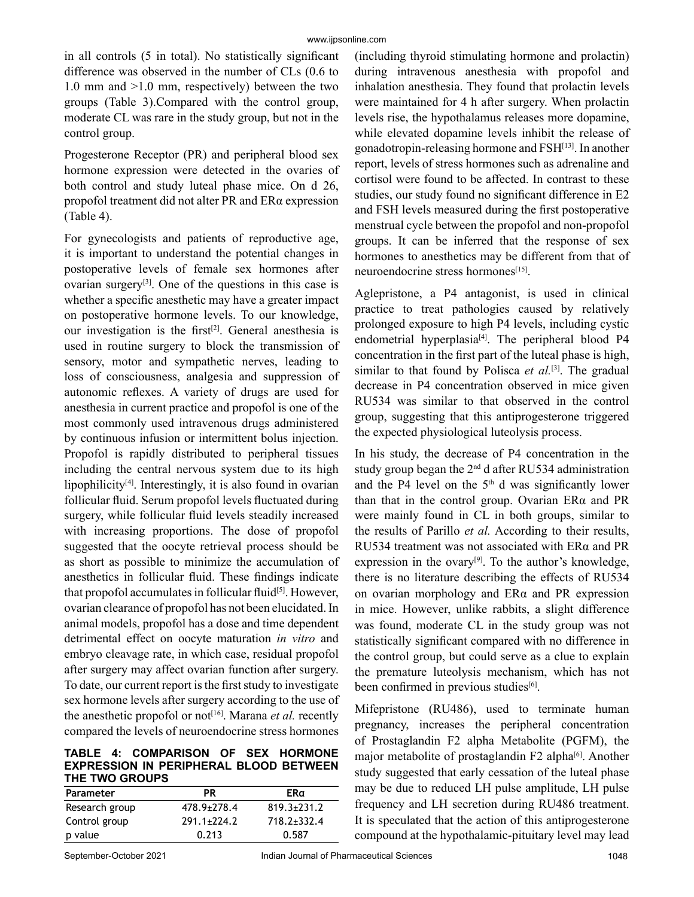in all controls (5 in total). No statistically significant difference was observed in the number of CLs (0.6 to 1.0 mm and >1.0 mm, respectively) between the two groups (Table 3).Compared with the control group, moderate CL was rare in the study group, but not in the control group.

Progesterone Receptor (PR) and peripheral blood sex hormone expression were detected in the ovaries of both control and study luteal phase mice. On d 26, propofol treatment did not alter PR and ERα expression (Table 4).

For gynecologists and patients of reproductive age, it is important to understand the potential changes in postoperative levels of female sex hormones after ovarian surgery<sup>[3]</sup>. One of the questions in this case is whether a specific anesthetic may have a greater impact on postoperative hormone levels. To our knowledge, our investigation is the first<sup>[2]</sup>. General anesthesia is used in routine surgery to block the transmission of sensory, motor and sympathetic nerves, leading to loss of consciousness, analgesia and suppression of autonomic reflexes. A variety of drugs are used for anesthesia in current practice and propofol is one of the most commonly used intravenous drugs administered by continuous infusion or intermittent bolus injection. Propofol is rapidly distributed to peripheral tissues including the central nervous system due to its high lipophilicity[4]. Interestingly, it is also found in ovarian follicular fluid. Serum propofol levels fluctuated during surgery, while follicular fluid levels steadily increased with increasing proportions. The dose of propofol suggested that the oocyte retrieval process should be as short as possible to minimize the accumulation of anesthetics in follicular fluid. These findings indicate that propofol accumulates in follicular fluid<sup>[5]</sup>. However, ovarian clearance of propofol has not been elucidated. In animal models, propofol has a dose and time dependent detrimental effect on oocyte maturation *in vitro* and embryo cleavage rate, in which case, residual propofol after surgery may affect ovarian function after surgery. To date, our current report is the first study to investigate sex hormone levels after surgery according to the use of the anesthetic propofol or not<sup>[16]</sup>. Marana *et al.* recently compared the levels of neuroendocrine stress hormones

#### **TABLE 4: COMPARISON OF SEX HORMONE EXPRESSION IN PERIPHERAL BLOOD BETWEEN THE TWO GROUPS**

| <b>Parameter</b> | PR                | ERα               |  |  |
|------------------|-------------------|-------------------|--|--|
| Research group   | $478.9 \pm 278.4$ | $819.3 \pm 231.2$ |  |  |
| Control group    | $291.1 \pm 224.2$ | 718.2±332.4       |  |  |
| p value          | 0.213             | 0.587             |  |  |

(including thyroid stimulating hormone and prolactin) during intravenous anesthesia with propofol and inhalation anesthesia. They found that prolactin levels were maintained for 4 h after surgery. When prolactin levels rise, the hypothalamus releases more dopamine, while elevated dopamine levels inhibit the release of gonadotropin-releasing hormone and FSH[13]. In another report, levels of stress hormones such as adrenaline and cortisol were found to be affected. In contrast to these studies, our study found no significant difference in E2 and FSH levels measured during the first postoperative menstrual cycle between the propofol and non-propofol groups. It can be inferred that the response of sex hormones to anesthetics may be different from that of neuroendocrine stress hormones<sup>[15]</sup>.

Aglepristone, a P4 antagonist, is used in clinical practice to treat pathologies caused by relatively prolonged exposure to high P4 levels, including cystic endometrial hyperplasia<sup>[4]</sup>. The peripheral blood P4 concentration in the first part of the luteal phase is high, similar to that found by Polisca *et al.*<sup>[3]</sup>. The gradual decrease in P4 concentration observed in mice given RU534 was similar to that observed in the control group, suggesting that this antiprogesterone triggered the expected physiological luteolysis process.

In his study, the decrease of P4 concentration in the study group began the  $2<sup>nd</sup>$  d after RU534 administration and the P4 level on the  $5<sup>th</sup>$  d was significantly lower than that in the control group. Ovarian  $ER\alpha$  and PR were mainly found in CL in both groups, similar to the results of Parillo *et al.* According to their results, RU534 treatment was not associated with ERα and PR expression in the ovary $[9]$ . To the author's knowledge, there is no literature describing the effects of RU534 on ovarian morphology and ERα and PR expression in mice. However, unlike rabbits, a slight difference was found, moderate CL in the study group was not statistically significant compared with no difference in the control group, but could serve as a clue to explain the premature luteolysis mechanism, which has not been confirmed in previous studies $[6]$ .

Mifepristone (RU486), used to terminate human pregnancy, increases the peripheral concentration of Prostaglandin F2 alpha Metabolite (PGFM), the major metabolite of prostaglandin F2 alpha<sup>[6]</sup>. Another study suggested that early cessation of the luteal phase may be due to reduced LH pulse amplitude, LH pulse frequency and LH secretion during RU486 treatment. It is speculated that the action of this antiprogesterone compound at the hypothalamic-pituitary level may lead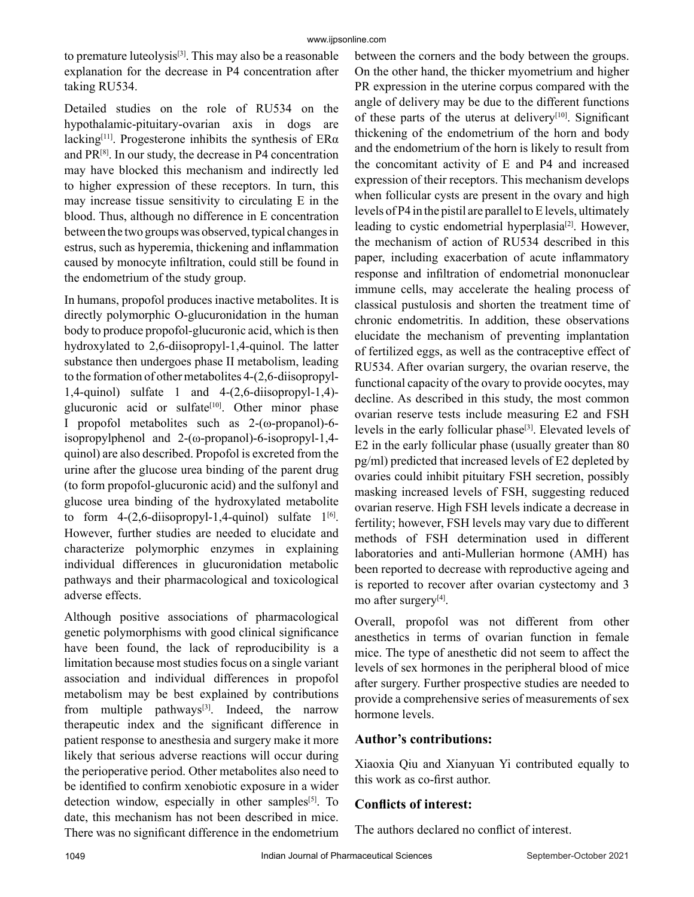to premature luteolysis<sup>[3]</sup>. This may also be a reasonable explanation for the decrease in P4 concentration after taking RU534.

Detailed studies on the role of RU534 on the hypothalamic-pituitary-ovarian axis in dogs are lacking<sup>[11]</sup>. Progesterone inhibits the synthesis of  $ER\alpha$ and  $PR^{[8]}$ . In our study, the decrease in P4 concentration may have blocked this mechanism and indirectly led to higher expression of these receptors. In turn, this may increase tissue sensitivity to circulating E in the blood. Thus, although no difference in E concentration between the two groups was observed, typical changes in estrus, such as hyperemia, thickening and inflammation caused by monocyte infiltration, could still be found in the endometrium of the study group.

In humans, propofol produces inactive metabolites. It is directly polymorphic O-glucuronidation in the human body to produce propofol-glucuronic acid, which is then hydroxylated to 2,6-diisopropyl-1,4-quinol. The latter substance then undergoes phase II metabolism, leading to the formation of other metabolites 4-(2,6-diisopropyl-1,4-quinol) sulfate 1 and 4-(2,6-diisopropyl-1,4) glucuronic acid or sulfate<sup>[10]</sup>. Other minor phase I propofol metabolites such as 2-(ω-propanol)-6 isopropylphenol and 2-(ω-propanol)-6-isopropyl-1,4 quinol) are also described. Propofol is excreted from the urine after the glucose urea binding of the parent drug (to form propofol-glucuronic acid) and the sulfonyl and glucose urea binding of the hydroxylated metabolite to form  $4-(2,6-\text{diisopropyl-1}, 4-\text{quino})$  sulfate  $1^{[6]}$ . However, further studies are needed to elucidate and characterize polymorphic enzymes in explaining individual differences in glucuronidation metabolic pathways and their pharmacological and toxicological adverse effects.

Although positive associations of pharmacological genetic polymorphisms with good clinical significance have been found, the lack of reproducibility is a limitation because most studies focus on a single variant association and individual differences in propofol metabolism may be best explained by contributions from multiple pathways $[3]$ . Indeed, the narrow therapeutic index and the significant difference in patient response to anesthesia and surgery make it more likely that serious adverse reactions will occur during the perioperative period. Other metabolites also need to be identified to confirm xenobiotic exposure in a wider detection window, especially in other samples<sup>[5]</sup>. To date, this mechanism has not been described in mice. There was no significant difference in the endometrium between the corners and the body between the groups. On the other hand, the thicker myometrium and higher PR expression in the uterine corpus compared with the angle of delivery may be due to the different functions of these parts of the uterus at delivery<sup>[10]</sup>. Significant thickening of the endometrium of the horn and body and the endometrium of the horn is likely to result from the concomitant activity of E and P4 and increased expression of their receptors. This mechanism develops when follicular cysts are present in the ovary and high levels of P4 in the pistil are parallel to E levels, ultimately leading to cystic endometrial hyperplasia<sup>[2]</sup>. However, the mechanism of action of RU534 described in this paper, including exacerbation of acute inflammatory response and infiltration of endometrial mononuclear immune cells, may accelerate the healing process of classical pustulosis and shorten the treatment time of chronic endometritis. In addition, these observations elucidate the mechanism of preventing implantation of fertilized eggs, as well as the contraceptive effect of RU534. After ovarian surgery, the ovarian reserve, the functional capacity of the ovary to provide oocytes, may decline. As described in this study, the most common ovarian reserve tests include measuring E2 and FSH levels in the early follicular phase<sup>[3]</sup>. Elevated levels of E2 in the early follicular phase (usually greater than 80 pg/ml) predicted that increased levels of E2 depleted by ovaries could inhibit pituitary FSH secretion, possibly masking increased levels of FSH, suggesting reduced ovarian reserve. High FSH levels indicate a decrease in fertility; however, FSH levels may vary due to different methods of FSH determination used in different laboratories and anti-Mullerian hormone (AMH) has been reported to decrease with reproductive ageing and is reported to recover after ovarian cystectomy and 3 mo after surgery[4].

Overall, propofol was not different from other anesthetics in terms of ovarian function in female mice. The type of anesthetic did not seem to affect the levels of sex hormones in the peripheral blood of mice after surgery. Further prospective studies are needed to provide a comprehensive series of measurements of sex hormone levels.

# **Author's contributions:**

Xiaoxia Qiu and Xianyuan Yi contributed equally to this work as co-first author.

## **Conflicts of interest:**

The authors declared no conflict of interest.